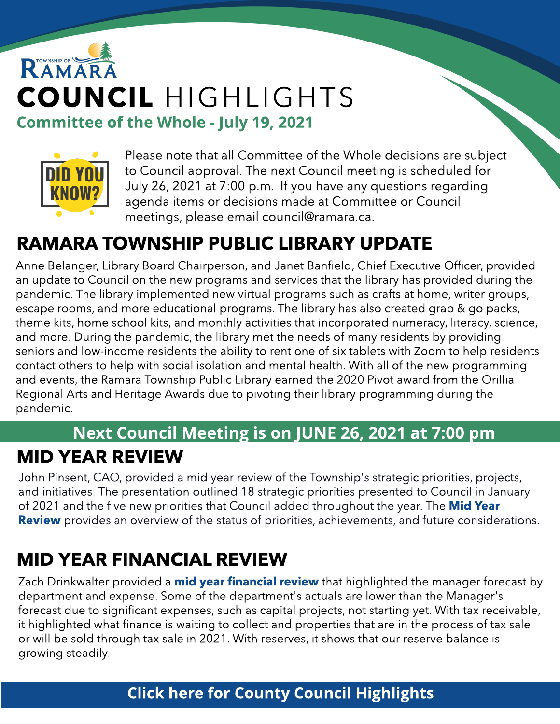# RAMAR COUNCIL HIGHLIGHTS Committee of the Whole - July 19, 2021



Please note that all Committee of the Whole decisions are subject to Council approval. The next Council meeting is scheduled for July 26, 2021 at 7:00 p.m. If you have any questions regarding agenda items or decisions made at Committee or Council meetings, please email council@ramara.ca.

## RAMARA TOWNSHIP PUBLIC LIBRARY UPDATE

Anne Belanger, Library Board Chairperson, and Janet Banfield, Chief Executive Officer, provided an update to Council on the new programs and services that the library has provided during the pandemic. The library implemented new virtual programs such as crafts at home, writer groups, escape rooms, and more educational programs. The library has also created grab & go packs, theme kits, home school kits, and monthly activities that incorporated numeracy, literacy, science, and more. During the pandemic, the library met the needs of many residents by providing seniors and low-income residents the ability to rent one of six tablets with Zoom to help residents contact others to help with social isolation and mental health. With all of the new programming and events, the Ramara Township Public Library earned the 2020 Pivot award from the Orillia Regional Arts and Heritage Awards due to pivoting their library programming during the pandemic.

### Next Council Meeting is on JUNE 26, 2021 at 7:00 pm MID YEAR REVIEW

John Pinsent, CAO, provided a mid year review of the Township's strategic priorities, projects, and initiatives. The presentation outlined 18 strategic priorities presented to Council in January of 2021 and the five new priorities that Council added throughout the year. The [Mid](https://ramara.civicweb.net/document/50649/Mid%20Year%20Review.pdf?handle=3908631F2BE84543A446BB772C4A1605) [Year](https://ramara.civicweb.net/document/50649/Mid%20Year%20Review.pdf?handle=3908631F2BE84543A446BB772C4A1605) **[Review](https://ramara.civicweb.net/document/50649/Mid%20Year%20Review.pdf?handle=3908631F2BE84543A446BB772C4A1605)** provides an overview of the status of priorities, achievements, and future considerations.

## MID YEAR FINANCIAL REVIEW

Zach Drinkwalter provided a *[mid](https://ramara.civicweb.net/document/50705?splitscreen=true&media=true&attachmenturl=%2Fdocument%2F50657) [year](https://ramara.civicweb.net/document/50705?splitscreen=true&media=true&attachmenturl=%2Fdocument%2F50657) [financial](https://ramara.civicweb.net/document/50705?splitscreen=true&media=true&attachmenturl=%2Fdocument%2F50657) [review](https://ramara.civicweb.net/document/50705?splitscreen=true&media=true&attachmenturl=%2Fdocument%2F50657)* that highlighted the manager forecast by department and expense. Some of the department's actuals are lower than the Manager's forecast due to significant expenses, such as capital projects, not starting yet. With tax receivable, it highlighted what finance is waiting to collect and properties that are in the process of tax sale or will be sold through tax sale in 2021. With reserves, it shows that our reserve balance is growing steadily.

#### **[Click](https://www.simcoe.ca/dpt/ccd/newsletters) [here](https://www.simcoe.ca/dpt/ccd/newsletters) [for](https://www.simcoe.ca/dpt/ccd/newsletters) [Count](https://www.simcoe.ca/dpt/ccd/newsletters)y [Council](https://www.simcoe.ca/dpt/ccd/newsletters) [Highlight](https://www.simcoe.ca/dpt/ccd/newsletters)s**